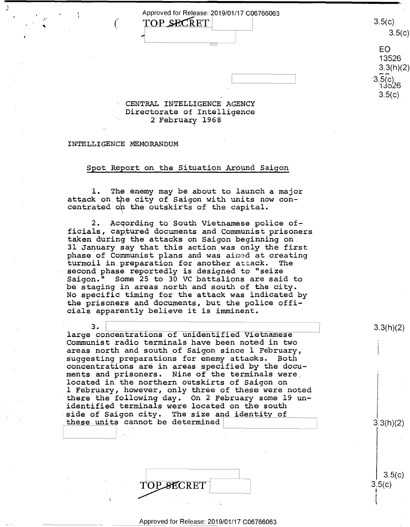$\frac{1}{1}$   $\frac{1}{2}$   $\frac{1}{2}$   $\frac{1}{2}$   $\frac{1}{2}$   $\frac{1}{2}$   $\frac{1}{2}$   $\frac{1}{2}$   $\frac{1}{2}$   $\frac{1}{2}$   $\frac{1}{2}$   $\frac{1}{2}$   $\frac{1}{2}$   $\frac{1}{2}$   $\frac{1}{2}$   $\frac{1}{2}$   $\frac{1}{2}$   $\frac{1}{2}$   $\frac{1}{2}$   $\frac{1}{2}$   $\frac{1}{2}$   $\frac{1}{2}$  **TOP SECRET**  $(\begin{array}{cc} \text{TOP} \text{ } \text{SCRET} \end{array})$  3.5(c) 3.5(c)

> CENTRAL INTELLIGENCE AGENCY CENTRAL INTELLIGENCE AGENCY Directorate of Intelligence 2 February 1968 2 February 1968  $3.5(c)$

~--------~

## INTELLIGENCE MEMORANDUM INTELLIGENCE MEMORANDUM

' *(* 

\ *r* 

## Spot Report on the Situation Around Saigon Spot Report on the Situation Around Saigon

l. The.enemy may be about to launch a major l. The\_enemy may be about to launch <sup>a</sup> major attack on the city of Saigon with units now concentrated o~ the outskirts of the capital. centrated on the outskirts of the capital.

2. Acqording to South Vietnamese police of-2. Acqording to'South Vietnamese police of ficials, cap,tured documents and Communist prisoners ficials, captured documents and Communist prisoners taken during the attacks on Saigon beginning on. taken during the attacks on Saigon beginning on. 31.January say that this action.was only the first 31 January say that this action was only the first of bandary say that this action was only the first turmoil in. preparation for another att.ack. The turmoil in preparation for another attack. The second phase reportedly is designed to "seize second phase reportedly is designed to "seize Saigon." Some 25 to 30 VC battalions are said to Saigon." Some 25 to 30 VC battalions are said to be staging in areas north and south of the city. be staging in.areas north and south of the city. No specific timing for the attack was indicated by No Specific timing for the attack was indicated by the prisoners and documents, but the police offi-the prisoners and documents, but\_the police officials apparently believe it is imminent. cials apparently believe it is imminent.

3. <u>|</u><br>large concentrations of unidentified Vietnamese | Idays concentrations of undertities (ICOMMUNIST) areas north and south of Saigon since l February, areas north and south\_of Saigon since 1 February, I as as not are soon of subget since I fusing, concentrations are in areas specified by the docu-concentrations are in areas specified by the docu ounderstations are in about spockable by the about ments and prisoners. Nine of the terminals were mon of the presences where we did commenced were not and the northern outskirts of Saigon on 1 February, however, only three of these were noted 1 Eebruary,\_however, Only three of these were noted there the following day. On 2 February some 19 un-'there the following day. On 2 February-some l9 un identified terminals were located on the south identified terminals were located on the south side of Saigon city. The size and identity of<br>these units cannot be determined  $3.3(h)(2)$ these units cannot be determined

> TOP SECRET  $TOP \cancel{\cdot}$  3.5(c)

Approved for Release: 2019/01/17 C06766063 Approved for Release: 2019/01/17 006766063

3.3(h)(2)

3.3(h)(2)

3.5(c)

i

 $3.5(c)$ 

3.5(c)  $3.5(c)$ 

EO

 $3.5(c)$  13526

 $\begin{array}{|c|c|c|}\n\hline\n&3.5(c) \\
\hline\n&13526\n\end{array}$ 

EO<br>13526

 $3.3(h)(2)$